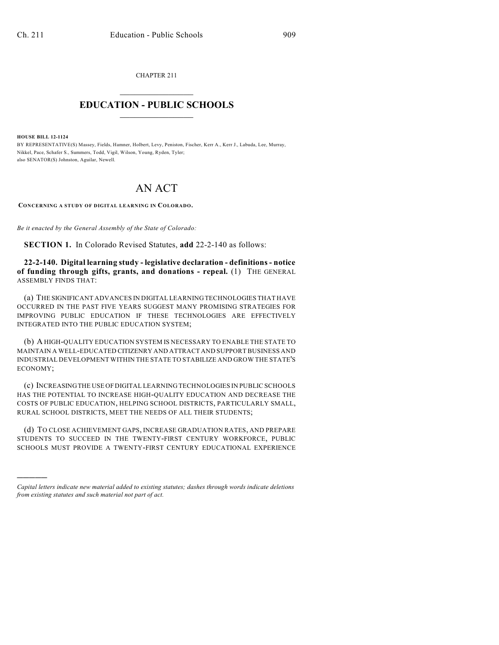CHAPTER 211  $\mathcal{L}_\text{max}$  . The set of the set of the set of the set of the set of the set of the set of the set of the set of the set of the set of the set of the set of the set of the set of the set of the set of the set of the set

## **EDUCATION - PUBLIC SCHOOLS**  $\_$   $\_$   $\_$   $\_$   $\_$   $\_$   $\_$   $\_$   $\_$

**HOUSE BILL 12-1124**

)))))

BY REPRESENTATIVE(S) Massey, Fields, Hamner, Holbert, Levy, Peniston, Fischer, Kerr A., Kerr J., Labuda, Lee, Murray, Nikkel, Pace, Schafer S., Summers, Todd, Vigil, Wilson, Young, Ryden, Tyler; also SENATOR(S) Johnston, Aguilar, Newell.

## AN ACT

**CONCERNING A STUDY OF DIGITAL LEARNING IN COLORADO.**

*Be it enacted by the General Assembly of the State of Colorado:*

**SECTION 1.** In Colorado Revised Statutes, **add** 22-2-140 as follows:

**22-2-140. Digital learning study - legislative declaration - definitions - notice of funding through gifts, grants, and donations - repeal.** (1) THE GENERAL ASSEMBLY FINDS THAT:

(a) THE SIGNIFICANT ADVANCES IN DIGITAL LEARNING TECHNOLOGIES THAT HAVE OCCURRED IN THE PAST FIVE YEARS SUGGEST MANY PROMISING STRATEGIES FOR IMPROVING PUBLIC EDUCATION IF THESE TECHNOLOGIES ARE EFFECTIVELY INTEGRATED INTO THE PUBLIC EDUCATION SYSTEM;

(b) A HIGH-QUALITY EDUCATION SYSTEM IS NECESSARY TO ENABLE THE STATE TO MAINTAIN A WELL-EDUCATED CITIZENRY AND ATTRACT AND SUPPORT BUSINESS AND INDUSTRIAL DEVELOPMENT WITHIN THE STATE TO STABILIZE AND GROW THE STATE'S ECONOMY;

(c) INCREASINGTHE USE OFDIGITAL LEARNING TECHNOLOGIES IN PUBLIC SCHOOLS HAS THE POTENTIAL TO INCREASE HIGH-QUALITY EDUCATION AND DECREASE THE COSTS OF PUBLIC EDUCATION, HELPING SCHOOL DISTRICTS, PARTICULARLY SMALL, RURAL SCHOOL DISTRICTS, MEET THE NEEDS OF ALL THEIR STUDENTS;

(d) TO CLOSE ACHIEVEMENT GAPS, INCREASE GRADUATION RATES, AND PREPARE STUDENTS TO SUCCEED IN THE TWENTY-FIRST CENTURY WORKFORCE, PUBLIC SCHOOLS MUST PROVIDE A TWENTY-FIRST CENTURY EDUCATIONAL EXPERIENCE

*Capital letters indicate new material added to existing statutes; dashes through words indicate deletions from existing statutes and such material not part of act.*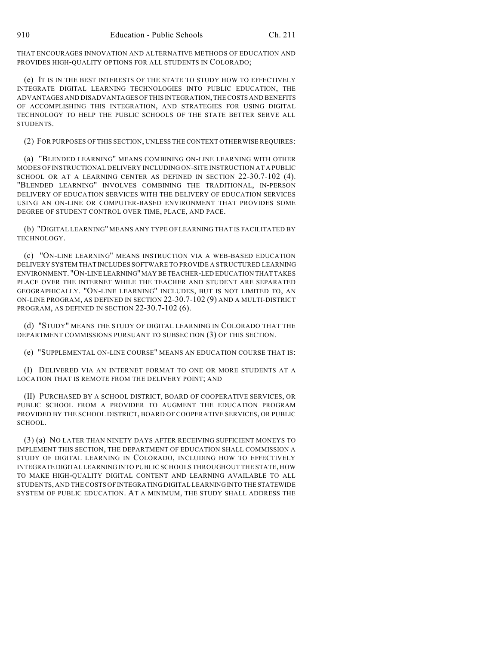THAT ENCOURAGES INNOVATION AND ALTERNATIVE METHODS OF EDUCATION AND PROVIDES HIGH-QUALITY OPTIONS FOR ALL STUDENTS IN COLORADO;

(e) IT IS IN THE BEST INTERESTS OF THE STATE TO STUDY HOW TO EFFECTIVELY INTEGRATE DIGITAL LEARNING TECHNOLOGIES INTO PUBLIC EDUCATION, THE ADVANTAGES AND DISADVANTAGES OF THIS INTEGRATION, THE COSTS AND BENEFITS OF ACCOMPLISHING THIS INTEGRATION, AND STRATEGIES FOR USING DIGITAL TECHNOLOGY TO HELP THE PUBLIC SCHOOLS OF THE STATE BETTER SERVE ALL STUDENTS.

(2) FOR PURPOSES OF THIS SECTION, UNLESS THE CONTEXT OTHERWISE REQUIRES:

(a) "BLENDED LEARNING" MEANS COMBINING ON-LINE LEARNING WITH OTHER MODES OF INSTRUCTIONAL DELIVERY INCLUDING ON-SITE INSTRUCTION AT A PUBLIC SCHOOL OR AT A LEARNING CENTER AS DEFINED IN SECTION 22-30.7-102 (4). "BLENDED LEARNING" INVOLVES COMBINING THE TRADITIONAL, IN-PERSON DELIVERY OF EDUCATION SERVICES WITH THE DELIVERY OF EDUCATION SERVICES USING AN ON-LINE OR COMPUTER-BASED ENVIRONMENT THAT PROVIDES SOME DEGREE OF STUDENT CONTROL OVER TIME, PLACE, AND PACE.

(b) "DIGITAL LEARNING" MEANS ANY TYPE OF LEARNING THAT IS FACILITATED BY TECHNOLOGY.

(c) "ON-LINE LEARNING" MEANS INSTRUCTION VIA A WEB-BASED EDUCATION DELIVERY SYSTEM THAT INCLUDES SOFTWARE TO PROVIDE A STRUCTURED LEARNING ENVIRONMENT. "ON-LINE LEARNING" MAY BE TEACHER-LED EDUCATION THAT TAKES PLACE OVER THE INTERNET WHILE THE TEACHER AND STUDENT ARE SEPARATED GEOGRAPHICALLY. "ON-LINE LEARNING" INCLUDES, BUT IS NOT LIMITED TO, AN ON-LINE PROGRAM, AS DEFINED IN SECTION 22-30.7-102 (9) AND A MULTI-DISTRICT PROGRAM, AS DEFINED IN SECTION 22-30.7-102 (6).

(d) "STUDY" MEANS THE STUDY OF DIGITAL LEARNING IN COLORADO THAT THE DEPARTMENT COMMISSIONS PURSUANT TO SUBSECTION (3) OF THIS SECTION.

(e) "SUPPLEMENTAL ON-LINE COURSE" MEANS AN EDUCATION COURSE THAT IS:

(I) DELIVERED VIA AN INTERNET FORMAT TO ONE OR MORE STUDENTS AT A LOCATION THAT IS REMOTE FROM THE DELIVERY POINT; AND

(II) PURCHASED BY A SCHOOL DISTRICT, BOARD OF COOPERATIVE SERVICES, OR PUBLIC SCHOOL FROM A PROVIDER TO AUGMENT THE EDUCATION PROGRAM PROVIDED BY THE SCHOOL DISTRICT, BOARD OF COOPERATIVE SERVICES, OR PUBLIC SCHOOL.

(3) (a) NO LATER THAN NINETY DAYS AFTER RECEIVING SUFFICIENT MONEYS TO IMPLEMENT THIS SECTION, THE DEPARTMENT OF EDUCATION SHALL COMMISSION A STUDY OF DIGITAL LEARNING IN COLORADO, INCLUDING HOW TO EFFECTIVELY INTEGRATE DIGITAL LEARNING INTO PUBLIC SCHOOLS THROUGHOUT THE STATE, HOW TO MAKE HIGH-QUALITY DIGITAL CONTENT AND LEARNING AVAILABLE TO ALL STUDENTS, AND THE COSTS OF INTEGRATING DIGITAL LEARNINGINTO THE STATEWIDE SYSTEM OF PUBLIC EDUCATION. AT A MINIMUM, THE STUDY SHALL ADDRESS THE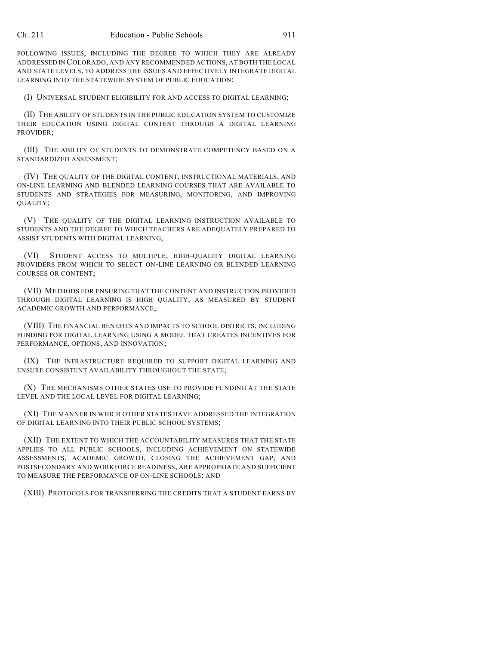FOLLOWING ISSUES, INCLUDING THE DEGREE TO WHICH THEY ARE ALREADY ADDRESSED IN COLORADO, AND ANY RECOMMENDED ACTIONS, AT BOTH THE LOCAL AND STATE LEVELS, TO ADDRESS THE ISSUES AND EFFECTIVELY INTEGRATE DIGITAL LEARNING INTO THE STATEWIDE SYSTEM OF PUBLIC EDUCATION:

(I) UNIVERSAL STUDENT ELIGIBILITY FOR AND ACCESS TO DIGITAL LEARNING;

(II) THE ABILITY OF STUDENTS IN THE PUBLIC EDUCATION SYSTEM TO CUSTOMIZE THEIR EDUCATION USING DIGITAL CONTENT THROUGH A DIGITAL LEARNING PROVIDER;

(III) THE ABILITY OF STUDENTS TO DEMONSTRATE COMPETENCY BASED ON A STANDARDIZED ASSESSMENT;

(IV) THE QUALITY OF THE DIGITAL CONTENT, INSTRUCTIONAL MATERIALS, AND ON-LINE LEARNING AND BLENDED LEARNING COURSES THAT ARE AVAILABLE TO STUDENTS AND STRATEGIES FOR MEASURING, MONITORING, AND IMPROVING QUALITY;

(V) THE QUALITY OF THE DIGITAL LEARNING INSTRUCTION AVAILABLE TO STUDENTS AND THE DEGREE TO WHICH TEACHERS ARE ADEQUATELY PREPARED TO ASSIST STUDENTS WITH DIGITAL LEARNING;

(VI) STUDENT ACCESS TO MULTIPLE, HIGH-QUALITY DIGITAL LEARNING PROVIDERS FROM WHICH TO SELECT ON-LINE LEARNING OR BLENDED LEARNING COURSES OR CONTENT;

(VII) METHODS FOR ENSURING THAT THE CONTENT AND INSTRUCTION PROVIDED THROUGH DIGITAL LEARNING IS HIGH QUALITY, AS MEASURED BY STUDENT ACADEMIC GROWTH AND PERFORMANCE;

(VIII) THE FINANCIAL BENEFITS AND IMPACTS TO SCHOOL DISTRICTS, INCLUDING FUNDING FOR DIGITAL LEARNING USING A MODEL THAT CREATES INCENTIVES FOR PERFORMANCE, OPTIONS, AND INNOVATION;

(IX) THE INFRASTRUCTURE REQUIRED TO SUPPORT DIGITAL LEARNING AND ENSURE CONSISTENT AVAILABILITY THROUGHOUT THE STATE;

(X) THE MECHANISMS OTHER STATES USE TO PROVIDE FUNDING AT THE STATE LEVEL AND THE LOCAL LEVEL FOR DIGITAL LEARNING;

(XI) THE MANNER IN WHICH OTHER STATES HAVE ADDRESSED THE INTEGRATION OF DIGITAL LEARNING INTO THEIR PUBLIC SCHOOL SYSTEMS;

(XII) THE EXTENT TO WHICH THE ACCOUNTABILITY MEASURES THAT THE STATE APPLIES TO ALL PUBLIC SCHOOLS, INCLUDING ACHIEVEMENT ON STATEWIDE ASSESSMENTS, ACADEMIC GROWTH, CLOSING THE ACHIEVEMENT GAP, AND POSTSECONDARY AND WORKFORCE READINESS, ARE APPROPRIATE AND SUFFICIENT TO MEASURE THE PERFORMANCE OF ON-LINE SCHOOLS; AND

(XIII) PROTOCOLS FOR TRANSFERRING THE CREDITS THAT A STUDENT EARNS BY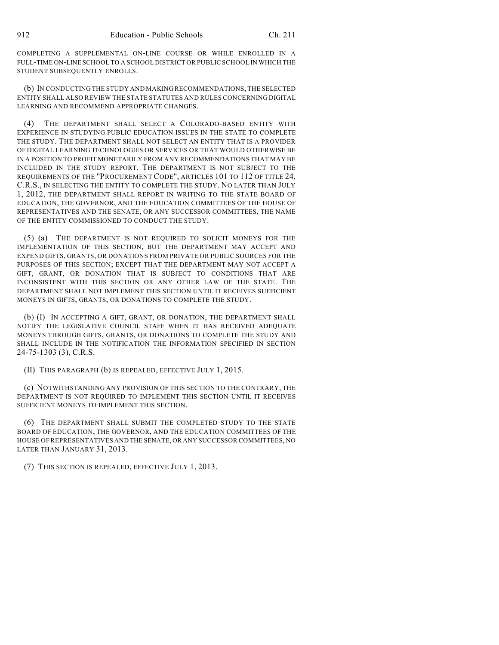COMPLETING A SUPPLEMENTAL ON-LINE COURSE OR WHILE ENROLLED IN A FULL-TIME ON-LINE SCHOOL TO A SCHOOL DISTRICT OR PUBLIC SCHOOL IN WHICH THE STUDENT SUBSEQUENTLY ENROLLS.

(b) IN CONDUCTING THE STUDY AND MAKING RECOMMENDATIONS, THE SELECTED ENTITY SHALL ALSO REVIEW THE STATE STATUTES AND RULES CONCERNING DIGITAL LEARNING AND RECOMMEND APPROPRIATE CHANGES.

(4) THE DEPARTMENT SHALL SELECT A COLORADO-BASED ENTITY WITH EXPERIENCE IN STUDYING PUBLIC EDUCATION ISSUES IN THE STATE TO COMPLETE THE STUDY. THE DEPARTMENT SHALL NOT SELECT AN ENTITY THAT IS A PROVIDER OF DIGITAL LEARNING TECHNOLOGIES OR SERVICES OR THAT WOULD OTHERWISE BE IN A POSITION TO PROFIT MONETARILY FROM ANY RECOMMENDATIONS THAT MAY BE INCLUDED IN THE STUDY REPORT. THE DEPARTMENT IS NOT SUBJECT TO THE REQUIREMENTS OF THE "PROCUREMENT CODE", ARTICLES 101 TO 112 OF TITLE 24, C.R.S., IN SELECTING THE ENTITY TO COMPLETE THE STUDY. NO LATER THAN JULY 1, 2012, THE DEPARTMENT SHALL REPORT IN WRITING TO THE STATE BOARD OF EDUCATION, THE GOVERNOR, AND THE EDUCATION COMMITTEES OF THE HOUSE OF REPRESENTATIVES AND THE SENATE, OR ANY SUCCESSOR COMMITTEES, THE NAME OF THE ENTITY COMMISSIONED TO CONDUCT THE STUDY.

(5) (a) THE DEPARTMENT IS NOT REQUIRED TO SOLICIT MONEYS FOR THE IMPLEMENTATION OF THIS SECTION, BUT THE DEPARTMENT MAY ACCEPT AND EXPEND GIFTS, GRANTS, OR DONATIONS FROM PRIVATE OR PUBLIC SOURCES FOR THE PURPOSES OF THIS SECTION; EXCEPT THAT THE DEPARTMENT MAY NOT ACCEPT A GIFT, GRANT, OR DONATION THAT IS SUBJECT TO CONDITIONS THAT ARE INCONSISTENT WITH THIS SECTION OR ANY OTHER LAW OF THE STATE. THE DEPARTMENT SHALL NOT IMPLEMENT THIS SECTION UNTIL IT RECEIVES SUFFICIENT MONEYS IN GIFTS, GRANTS, OR DONATIONS TO COMPLETE THE STUDY.

(b) (I) IN ACCEPTING A GIFT, GRANT, OR DONATION, THE DEPARTMENT SHALL NOTIFY THE LEGISLATIVE COUNCIL STAFF WHEN IT HAS RECEIVED ADEQUATE MONEYS THROUGH GIFTS, GRANTS, OR DONATIONS TO COMPLETE THE STUDY AND SHALL INCLUDE IN THE NOTIFICATION THE INFORMATION SPECIFIED IN SECTION 24-75-1303 (3), C.R.S.

(II) THIS PARAGRAPH (b) IS REPEALED, EFFECTIVE JULY 1, 2015.

(c) NOTWITHSTANDING ANY PROVISION OF THIS SECTION TO THE CONTRARY, THE DEPARTMENT IS NOT REQUIRED TO IMPLEMENT THIS SECTION UNTIL IT RECEIVES SUFFICIENT MONEYS TO IMPLEMENT THIS SECTION.

(6) THE DEPARTMENT SHALL SUBMIT THE COMPLETED STUDY TO THE STATE BOARD OF EDUCATION, THE GOVERNOR, AND THE EDUCATION COMMITTEES OF THE HOUSE OF REPRESENTATIVES AND THE SENATE, OR ANY SUCCESSOR COMMITTEES, NO LATER THAN JANUARY 31, 2013.

(7) THIS SECTION IS REPEALED, EFFECTIVE JULY 1, 2013.